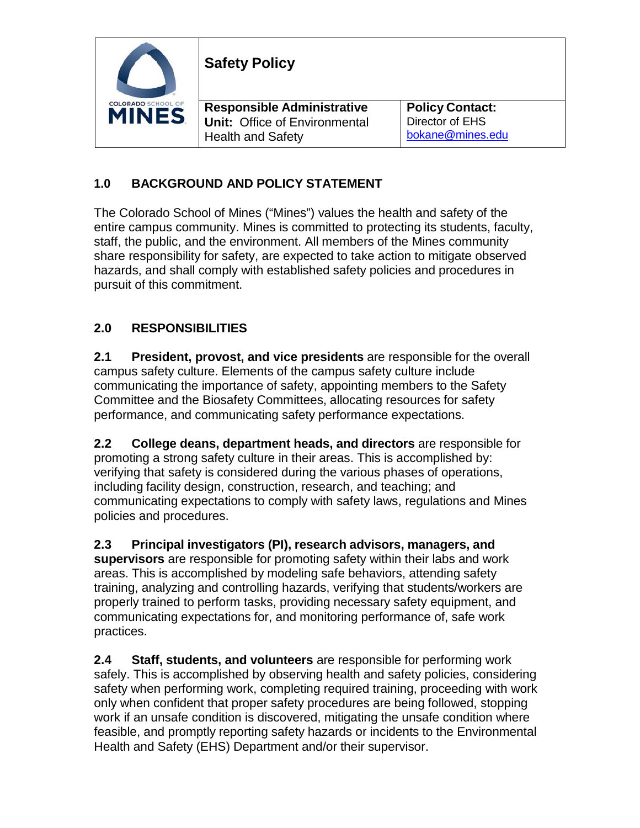|                                           | <b>Safety Policy</b>                                                      |                                           |
|-------------------------------------------|---------------------------------------------------------------------------|-------------------------------------------|
| <b>COLORADO SCHOOL OF</b><br><b>MINES</b> | <b>Responsible Administrative</b><br><b>Unit: Office of Environmental</b> | <b>Policy Contact:</b><br>Director of EHS |
|                                           | <b>Health and Safety</b>                                                  | bokane@mines.edu                          |

## **1.0 BACKGROUND AND POLICY STATEMENT**

The Colorado School of Mines ("Mines") values the health and safety of the entire campus community. Mines is committed to protecting its students, faculty, staff, the public, and the environment. All members of the Mines community share responsibility for safety, are expected to take action to mitigate observed hazards, and shall comply with established safety policies and procedures in pursuit of this commitment.

## **2.0 RESPONSIBILITIES**

**2.1 President, provost, and vice presidents** are responsible for the overall campus safety culture. Elements of the campus safety culture include communicating the importance of safety, appointing members to the Safety Committee and the Biosafety Committees, allocating resources for safety performance, and communicating safety performance expectations.

**2.2 College deans, department heads, and directors** are responsible for promoting a strong safety culture in their areas. This is accomplished by: verifying that safety is considered during the various phases of operations, including facility design, construction, research, and teaching; and communicating expectations to comply with safety laws, regulations and Mines policies and procedures.

**2.3 Principal investigators (PI), research advisors, managers, and supervisors** are responsible for promoting safety within their labs and work areas. This is accomplished by modeling safe behaviors, attending safety training, analyzing and controlling hazards, verifying that students/workers are properly trained to perform tasks, providing necessary safety equipment, and communicating expectations for, and monitoring performance of, safe work practices.

**2.4 Staff, students, and volunteers** are responsible for performing work safely. This is accomplished by observing health and safety policies, considering safety when performing work, completing required training, proceeding with work only when confident that proper safety procedures are being followed, stopping work if an unsafe condition is discovered, mitigating the unsafe condition where feasible, and promptly reporting safety hazards or incidents to the Environmental Health and Safety (EHS) Department and/or their supervisor.